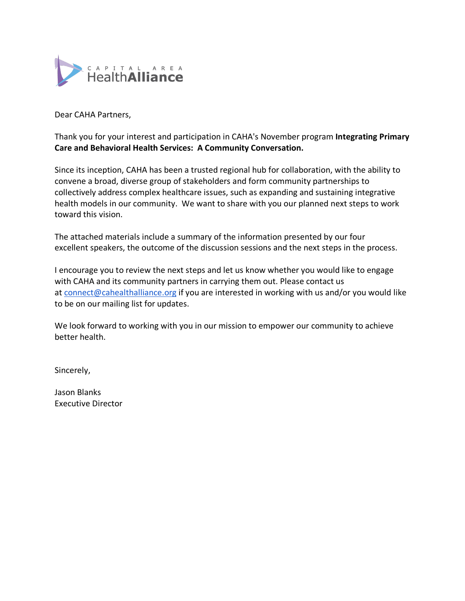

Dear CAHA Partners,

Thank you for your interest and participation in CAHA's November program **Integrating Primary Care and Behavioral Health Services: A Community Conversation.** 

Since its inception, CAHA has been a trusted regional hub for collaboration, with the ability to convene a broad, diverse group of stakeholders and form community partnerships to collectively address complex healthcare issues, such as expanding and sustaining integrative health models in our community. We want to share with you our planned next steps to work toward this vision.

The attached materials include a summary of the information presented by our four excellent speakers, the outcome of the discussion sessions and the next steps in the process.

I encourage you to review the next steps and let us know whether you would like to engage with CAHA and its community partners in carrying them out. Please contact us at [connect@cahealthalliance.org](mailto:connect@cahealthalliance.org) if you are interested in working with us and/or you would like to be on our mailing list for updates.

We look forward to working with you in our mission to empower our community to achieve better health.

Sincerely,

Jason Blanks Executive Director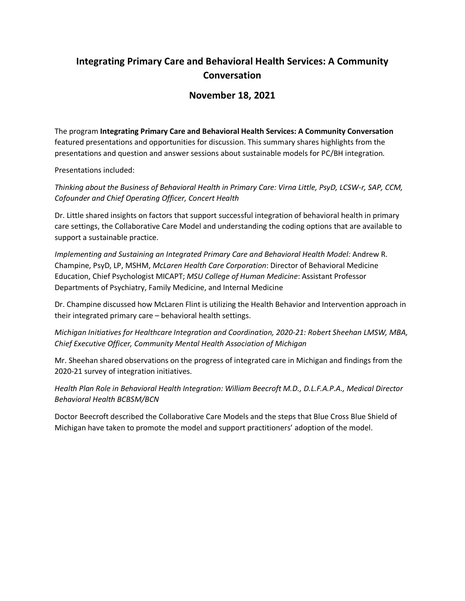# **Integrating Primary Care and Behavioral Health Services: A Community Conversation**

## **November 18, 2021**

The program **Integrating Primary Care and Behavioral Health Services: A Community Conversation** featured presentations and opportunities for discussion. This summary shares highlights from the presentations and question and answer sessions about sustainable models for PC/BH integration.

Presentations included:

*Thinking about the Business of Behavioral Health in Primary Care: Virna Little, PsyD, LCSW-r, SAP, CCM, Cofounder and Chief Operating Officer, Concert Health*

Dr. Little shared insights on factors that support successful integration of behavioral health in primary care settings, the Collaborative Care Model and understanding the coding options that are available to support a sustainable practice.

*Implementing and Sustaining an Integrated Primary Care and Behavioral Health Model:* Andrew R. Champine, PsyD, LP, MSHM, *McLaren Health Care Corporation*: Director of Behavioral Medicine Education, Chief Psychologist MICAPT; *MSU College of Human Medicine*: Assistant Professor Departments of Psychiatry, Family Medicine, and Internal Medicine

Dr. Champine discussed how McLaren Flint is utilizing the Health Behavior and Intervention approach in their integrated primary care – behavioral health settings.

*Michigan Initiatives for Healthcare Integration and Coordination, 2020-21: Robert Sheehan LMSW, MBA, Chief Executive Officer, Community Mental Health Association of Michigan*

Mr. Sheehan shared observations on the progress of integrated care in Michigan and findings from the 2020-21 survey of integration initiatives.

*Health Plan Role in Behavioral Health Integration: William Beecroft M.D., D.L.F.A.P.A., Medical Director Behavioral Health BCBSM/BCN*

Doctor Beecroft described the Collaborative Care Models and the steps that Blue Cross Blue Shield of Michigan have taken to promote the model and support practitioners' adoption of the model.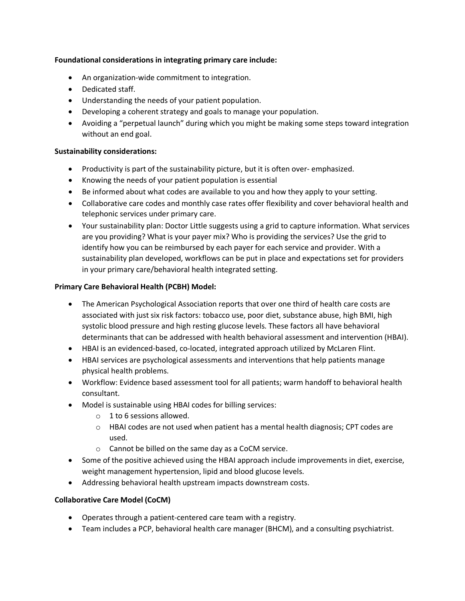## **Foundational considerations in integrating primary care include:**

- An organization-wide commitment to integration.
- Dedicated staff.
- Understanding the needs of your patient population.
- Developing a coherent strategy and goals to manage your population.
- Avoiding a "perpetual launch" during which you might be making some steps toward integration without an end goal.

## **Sustainability considerations:**

- Productivity is part of the sustainability picture, but it is often over- emphasized.
- Knowing the needs of your patient population is essential
- Be informed about what codes are available to you and how they apply to your setting.
- Collaborative care codes and monthly case rates offer flexibility and cover behavioral health and telephonic services under primary care.
- Your sustainability plan: Doctor Little suggests using a grid to capture information. What services are you providing? What is your payer mix? Who is providing the services? Use the grid to identify how you can be reimbursed by each payer for each service and provider. With a sustainability plan developed, workflows can be put in place and expectations set for providers in your primary care/behavioral health integrated setting.

## **Primary Care Behavioral Health (PCBH) Model:**

- The American Psychological Association reports that over one third of health care costs are associated with just six risk factors: tobacco use, poor diet, substance abuse, high BMI, high systolic blood pressure and high resting glucose levels. These factors all have behavioral determinants that can be addressed with health behavioral assessment and intervention (HBAI).
- HBAI is an evidenced-based, co-located, integrated approach utilized by McLaren Flint.
- HBAI services are psychological assessments and interventions that help patients manage physical health problems.
- Workflow: Evidence based assessment tool for all patients; warm handoff to behavioral health consultant.
- Model is sustainable using HBAI codes for billing services:
	- o 1 to 6 sessions allowed.
	- $\circ$  HBAI codes are not used when patient has a mental health diagnosis; CPT codes are used.
	- o Cannot be billed on the same day as a CoCM service.
- Some of the positive achieved using the HBAI approach include improvements in diet, exercise, weight management hypertension, lipid and blood glucose levels.
- Addressing behavioral health upstream impacts downstream costs.

### **Collaborative Care Model (CoCM)**

- Operates through a patient-centered care team with a registry.
- Team includes a PCP, behavioral health care manager (BHCM), and a consulting psychiatrist.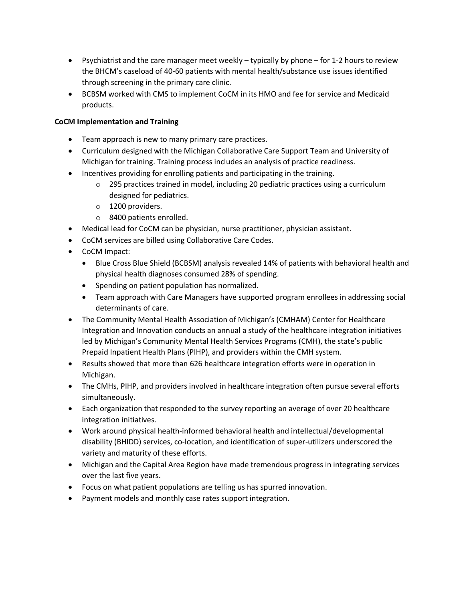- Psychiatrist and the care manager meet weekly typically by phone for 1-2 hours to review the BHCM's caseload of 40-60 patients with mental health/substance use issues identified through screening in the primary care clinic.
- BCBSM worked with CMS to implement CoCM in its HMO and fee for service and Medicaid products.

## **CoCM Implementation and Training**

- Team approach is new to many primary care practices.
- Curriculum designed with the Michigan Collaborative Care Support Team and University of Michigan for training. Training process includes an analysis of practice readiness.
- Incentives providing for enrolling patients and participating in the training.
	- $\circ$  295 practices trained in model, including 20 pediatric practices using a curriculum designed for pediatrics.
	- o 1200 providers.
	- o 8400 patients enrolled.
- Medical lead for CoCM can be physician, nurse practitioner, physician assistant.
- CoCM services are billed using Collaborative Care Codes.
- CoCM Impact:
	- Blue Cross Blue Shield (BCBSM) analysis revealed 14% of patients with behavioral health and physical health diagnoses consumed 28% of spending.
	- Spending on patient population has normalized.
	- Team approach with Care Managers have supported program enrollees in addressing social determinants of care.
- The Community Mental Health Association of Michigan's (CMHAM) Center for Healthcare Integration and Innovation conducts an annual a study of the healthcare integration initiatives led by Michigan's Community Mental Health Services Programs (CMH), the state's public Prepaid Inpatient Health Plans (PIHP), and providers within the CMH system.
- Results showed that more than 626 healthcare integration efforts were in operation in Michigan.
- The CMHs, PIHP, and providers involved in healthcare integration often pursue several efforts simultaneously.
- Each organization that responded to the survey reporting an average of over 20 healthcare integration initiatives.
- Work around physical health-informed behavioral health and intellectual/developmental disability (BHIDD) services, co-location, and identification of super-utilizers underscored the variety and maturity of these efforts.
- Michigan and the Capital Area Region have made tremendous progress in integrating services over the last five years.
- Focus on what patient populations are telling us has spurred innovation.
- Payment models and monthly case rates support integration.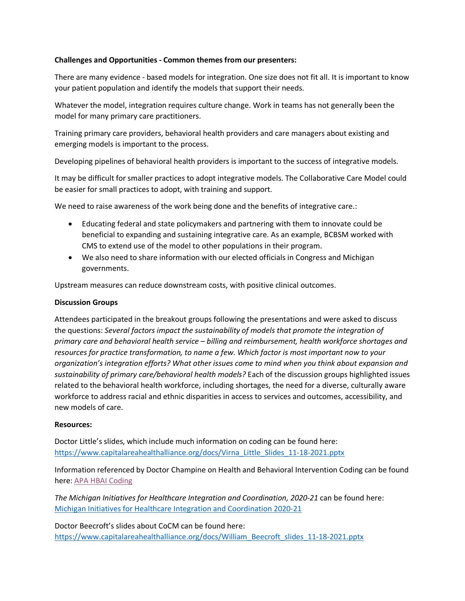### **Challenges and Opportunities - Common themes from our presenters:**

There are many evidence - based models for integration. One size does not fit all. It is important to know your patient population and identify the models that support their needs.

Whatever the model, integration requires culture change. Work in teams has not generally been the model for many primary care practitioners.

Training primary care providers, behavioral health providers and care managers about existing and emerging models is important to the process.

Developing pipelines of behavioral health providers is important to the success of integrative models.

It may be difficult for smaller practices to adopt integrative models. The Collaborative Care Model could be easier for small practices to adopt, with training and support.

We need to raise awareness of the work being done and the benefits of integrative care.:

- Educating federal and state policymakers and partnering with them to innovate could be beneficial to expanding and sustaining integrative care. As an example, BCBSM worked with CMS to extend use of the model to other populations in their program.
- We also need to share information with our elected officials in Congress and Michigan governments.

Upstream measures can reduce downstream costs, with positive clinical outcomes.

### **Discussion Groups**

Attendees participated in the breakout groups following the presentations and were asked to discuss the questions: *Several factors impact the sustainability of models that promote the integration of primary care and behavioral health service – billing and reimbursement, health workforce shortages and resources for practice transformation, to name a few. Which factor is most important now to your organization's integration efforts? What other issues come to mind when you think about expansion and sustainability of primary care/behavioral health models?* Each of the discussion groups highlighted issues related to the behavioral health workforce, including shortages, the need for a diverse, culturally aware workforce to address racial and ethnic disparities in access to services and outcomes, accessibility, and new models of care.

### **Resources:**

Doctor Little's slides, which include much information on coding can be found here: [https://www.capitalareahealthalliance.org/docs/Virna\\_Little\\_Slides\\_11-18-2021.pptx](https://www.capitalareahealthalliance.org/docs/Virna_Little_Slides_11-18-2021.pptx)

Information referenced by Doctor Champine on Health and Behavioral Intervention Coding can be found here: [APA HBAI Coding](https://www.apaservices.org/practice/reimbursement/health-codes/health-behavior)

*The Michigan Initiatives for Healthcare Integration and Coordination, 2020-21* can be found here: [Michigan Initiatives for Healthcare Integration and Coordination 2020-21](https://cmham.org/wp-content/uploads/2021/02/New-2020-2021-CHI2-Healthcare-Integration-final.pdf)

Doctor Beecroft's slides about CoCM can be found here: [https://www.capitalareahealthalliance.org/docs/William\\_Beecroft\\_slides\\_11-18-2021.pptx](https://www.capitalareahealthalliance.org/docs/William_Beecroft_slides_11-18-2021.pptx)